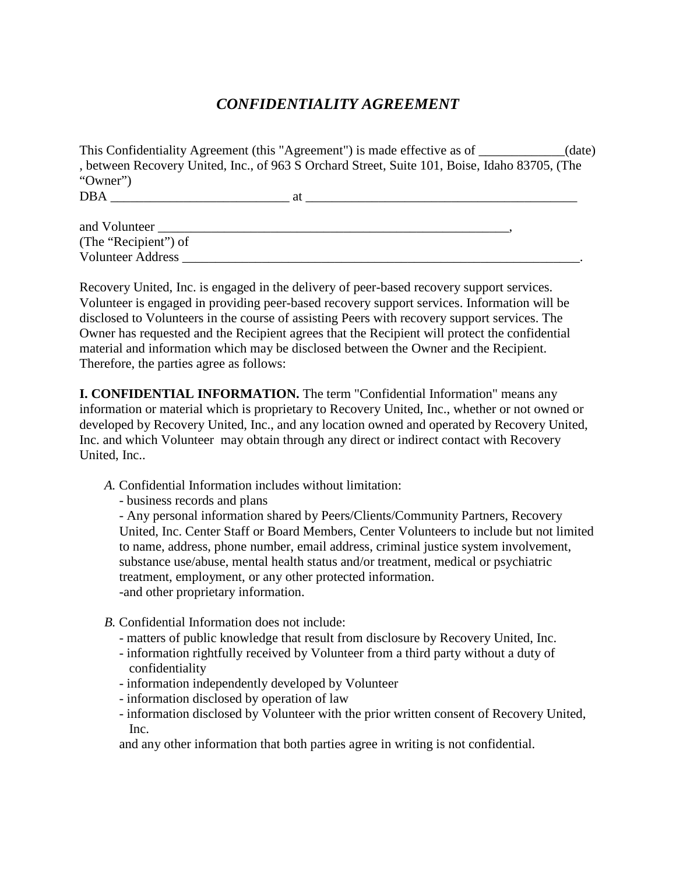## *CONFIDENTIALITY AGREEMENT*

|                      | This Confidentiality Agreement (this "Agreement") is made effective as of ___________(date)   |  |
|----------------------|-----------------------------------------------------------------------------------------------|--|
|                      | , between Recovery United, Inc., of 963 S Orchard Street, Suite 101, Boise, Idaho 83705, (The |  |
| "Owner")             |                                                                                               |  |
|                      |                                                                                               |  |
| and Volunteer        |                                                                                               |  |
| (The "Recipient") of |                                                                                               |  |
| Volunteer Address    |                                                                                               |  |

Recovery United, Inc. is engaged in the delivery of peer-based recovery support services. Volunteer is engaged in providing peer-based recovery support services. Information will be disclosed to Volunteers in the course of assisting Peers with recovery support services. The Owner has requested and the Recipient agrees that the Recipient will protect the confidential material and information which may be disclosed between the Owner and the Recipient. Therefore, the parties agree as follows:

**I. CONFIDENTIAL INFORMATION.** The term "Confidential Information" means any information or material which is proprietary to Recovery United, Inc., whether or not owned or developed by Recovery United, Inc., and any location owned and operated by Recovery United, Inc. and which Volunteer may obtain through any direct or indirect contact with Recovery United, Inc..

*A.* Confidential Information includes without limitation:

- business records and plans

- Any personal information shared by Peers/Clients/Community Partners, Recovery United, Inc. Center Staff or Board Members, Center Volunteers to include but not limited to name, address, phone number, email address, criminal justice system involvement, substance use/abuse, mental health status and/or treatment, medical or psychiatric treatment, employment, or any other protected information. -and other proprietary information.

- *B.* Confidential Information does not include:
	- matters of public knowledge that result from disclosure by Recovery United, Inc.
	- information rightfully received by Volunteer from a third party without a duty of confidentiality
	- information independently developed by Volunteer
	- information disclosed by operation of law
	- information disclosed by Volunteer with the prior written consent of Recovery United, Inc.

and any other information that both parties agree in writing is not confidential.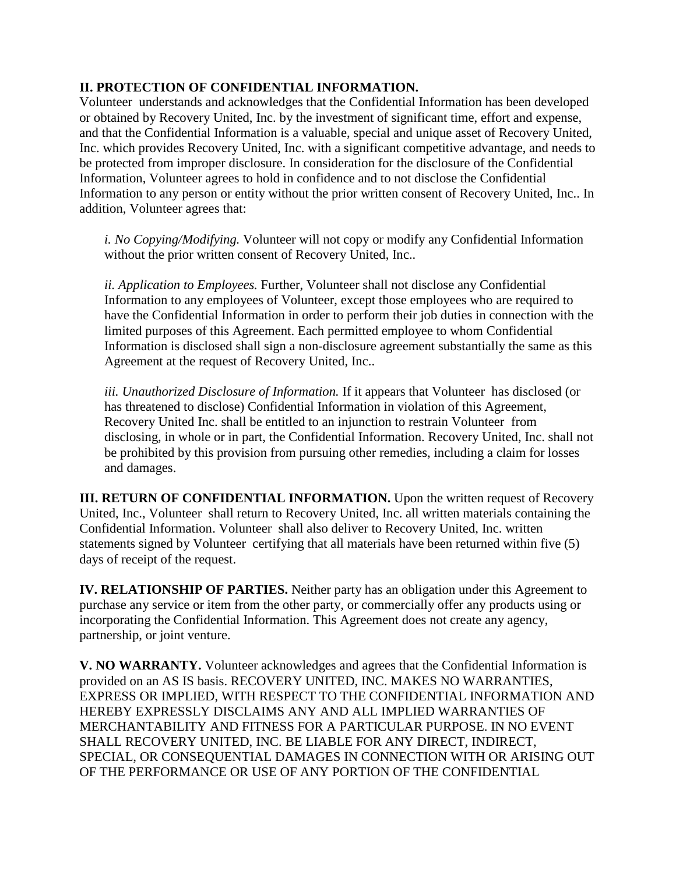## **II. PROTECTION OF CONFIDENTIAL INFORMATION.**

Volunteer understands and acknowledges that the Confidential Information has been developed or obtained by Recovery United, Inc. by the investment of significant time, effort and expense, and that the Confidential Information is a valuable, special and unique asset of Recovery United, Inc. which provides Recovery United, Inc. with a significant competitive advantage, and needs to be protected from improper disclosure. In consideration for the disclosure of the Confidential Information, Volunteer agrees to hold in confidence and to not disclose the Confidential Information to any person or entity without the prior written consent of Recovery United, Inc.. In addition, Volunteer agrees that:

*i. No Copying/Modifying.* Volunteer will not copy or modify any Confidential Information without the prior written consent of Recovery United, Inc..

*ii. Application to Employees.* Further, Volunteer shall not disclose any Confidential Information to any employees of Volunteer, except those employees who are required to have the Confidential Information in order to perform their job duties in connection with the limited purposes of this Agreement. Each permitted employee to whom Confidential Information is disclosed shall sign a non-disclosure agreement substantially the same as this Agreement at the request of Recovery United, Inc..

*iii. Unauthorized Disclosure of Information.* If it appears that Volunteer has disclosed (or has threatened to disclose) Confidential Information in violation of this Agreement, Recovery United Inc. shall be entitled to an injunction to restrain Volunteer from disclosing, in whole or in part, the Confidential Information. Recovery United, Inc. shall not be prohibited by this provision from pursuing other remedies, including a claim for losses and damages.

**III. RETURN OF CONFIDENTIAL INFORMATION.** Upon the written request of Recovery United, Inc., Volunteer shall return to Recovery United, Inc. all written materials containing the Confidential Information. Volunteer shall also deliver to Recovery United, Inc. written statements signed by Volunteer certifying that all materials have been returned within five (5) days of receipt of the request.

**IV. RELATIONSHIP OF PARTIES.** Neither party has an obligation under this Agreement to purchase any service or item from the other party, or commercially offer any products using or incorporating the Confidential Information. This Agreement does not create any agency, partnership, or joint venture.

**V. NO WARRANTY.** Volunteer acknowledges and agrees that the Confidential Information is provided on an AS IS basis. RECOVERY UNITED, INC. MAKES NO WARRANTIES, EXPRESS OR IMPLIED, WITH RESPECT TO THE CONFIDENTIAL INFORMATION AND HEREBY EXPRESSLY DISCLAIMS ANY AND ALL IMPLIED WARRANTIES OF MERCHANTABILITY AND FITNESS FOR A PARTICULAR PURPOSE. IN NO EVENT SHALL RECOVERY UNITED, INC. BE LIABLE FOR ANY DIRECT, INDIRECT, SPECIAL, OR CONSEQUENTIAL DAMAGES IN CONNECTION WITH OR ARISING OUT OF THE PERFORMANCE OR USE OF ANY PORTION OF THE CONFIDENTIAL